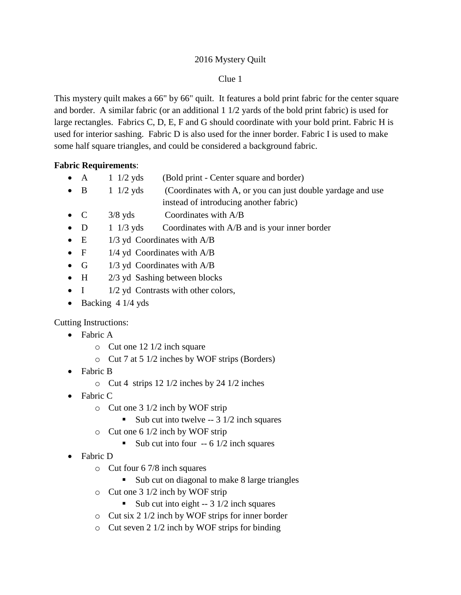## 2016 Mystery Quilt

## Clue 1

This mystery quilt makes a 66" by 66" quilt. It features a bold print fabric for the center square and border. A similar fabric (or an additional 1 1/2 yards of the bold print fabric) is used for large rectangles. Fabrics C, D, E, F and G should coordinate with your bold print. Fabric H is used for interior sashing. Fabric D is also used for the inner border. Fabric I is used to make some half square triangles, and could be considered a background fabric.

## **Fabric Requirements**:

- A 1 1/2 yds (Bold print Center square and border)
- $\bullet$  B 1 1/2 yds (Coordinates with A, or you can just double yardage and use instead of introducing another fabric)
- C 3/8 yds Coordinates with A/B
- $\bullet$  D 1 1/3 yds Coordinates with A/B and is your inner border
- E 1/3 yd Coordinates with A/B
- $F = 1/4$  yd Coordinates with  $A/B$
- G  $1/3$  yd Coordinates with  $A/B$
- $\bullet$  H  $\frac{2}{3}$  yd Sashing between blocks
- $I = 1/2$  yd Contrasts with other colors,
- Backing 4 1/4 yds

Cutting Instructions:

- Fabric A
	- o Cut one 12 1/2 inch square
	- o Cut 7 at 5 1/2 inches by WOF strips (Borders)
- Fabric B
	- o Cut 4 strips 12 1/2 inches by 24 1/2 inches
- Fabric C
	- o Cut one 3 1/2 inch by WOF strip
		- Sub cut into twelve  $-3$  1/2 inch squares
	- o Cut one 6 1/2 inch by WOF strip
		- Sub cut into four -- 6 1/2 inch squares
- Fabric D
	- o Cut four 6 7/8 inch squares
		- Sub cut on diagonal to make 8 large triangles
	- o Cut one 3 1/2 inch by WOF strip
		- Sub cut into eight  $-3$  1/2 inch squares
	- o Cut six 2 1/2 inch by WOF strips for inner border
	- o Cut seven 2 1/2 inch by WOF strips for binding